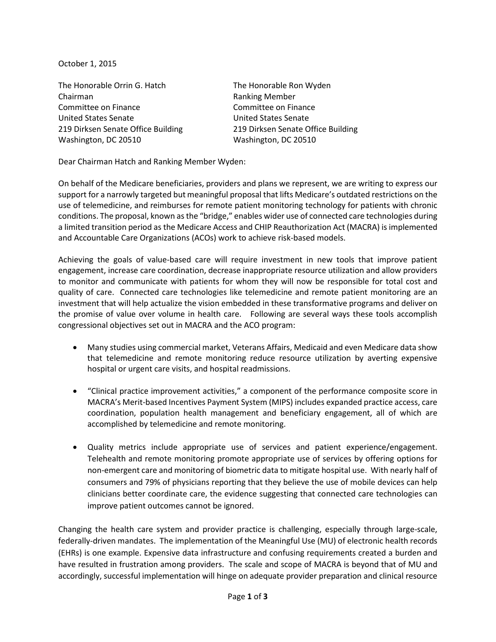October 1, 2015

The Honorable Orrin G. Hatch The Honorable Ron Wyden Chairman **Ranking Member** Ranking Member Committee on Finance Committee on Finance United States Senate United States Senate Washington, DC 20510 Washington, DC 20510

219 Dirksen Senate Office Building 219 Dirksen Senate Office Building

Dear Chairman Hatch and Ranking Member Wyden:

On behalf of the Medicare beneficiaries, providers and plans we represent, we are writing to express our support for a narrowly targeted but meaningful proposal that lifts Medicare's outdated restrictions on the use of telemedicine, and reimburses for remote patient monitoring technology for patients with chronic conditions. The proposal, known as the "bridge," enables wider use of connected care technologies during a limited transition period as the Medicare Access and CHIP Reauthorization Act (MACRA) is implemented and Accountable Care Organizations (ACOs) work to achieve risk-based models.

Achieving the goals of value-based care will require investment in new tools that improve patient engagement, increase care coordination, decrease inappropriate resource utilization and allow providers to monitor and communicate with patients for whom they will now be responsible for total cost and quality of care. Connected care technologies like telemedicine and remote patient monitoring are an investment that will help actualize the vision embedded in these transformative programs and deliver on the promise of value over volume in health care. Following are several ways these tools accomplish congressional objectives set out in MACRA and the ACO program:

- Many studies using commercial market, Veterans Affairs, Medicaid and even Medicare data show that telemedicine and remote monitoring reduce resource utilization by averting expensive hospital or urgent care visits, and hospital readmissions.
- "Clinical practice improvement activities," a component of the performance composite score in MACRA's Merit-based Incentives Payment System (MIPS) includes expanded practice access, care coordination, population health management and beneficiary engagement, all of which are accomplished by telemedicine and remote monitoring.
- Quality metrics include appropriate use of services and patient experience/engagement. Telehealth and remote monitoring promote appropriate use of services by offering options for non-emergent care and monitoring of biometric data to mitigate hospital use. With nearly half of consumers and 79% of physicians reporting that they believe the use of mobile devices can help clinicians better coordinate care, the evidence suggesting that connected care technologies can improve patient outcomes cannot be ignored.

Changing the health care system and provider practice is challenging, especially through large-scale, federally-driven mandates. The implementation of the Meaningful Use (MU) of electronic health records (EHRs) is one example. Expensive data infrastructure and confusing requirements created a burden and have resulted in frustration among providers. The scale and scope of MACRA is beyond that of MU and accordingly, successful implementation will hinge on adequate provider preparation and clinical resource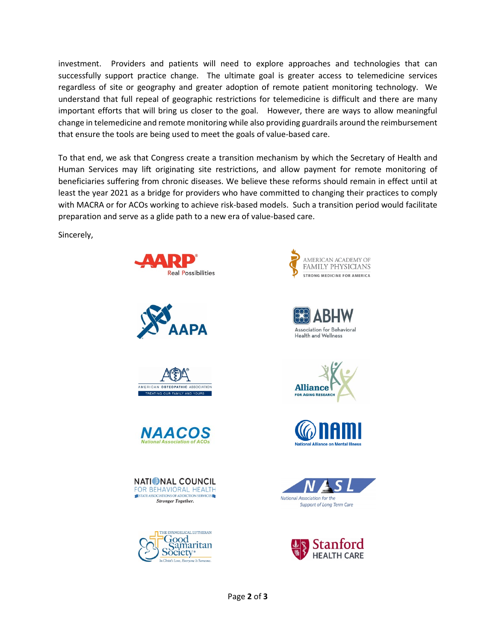investment. Providers and patients will need to explore approaches and technologies that can successfully support practice change. The ultimate goal is greater access to telemedicine services regardless of site or geography and greater adoption of remote patient monitoring technology. We understand that full repeal of geographic restrictions for telemedicine is difficult and there are many important efforts that will bring us closer to the goal. However, there are ways to allow meaningful change in telemedicine and remote monitoring while also providing guardrails around the reimbursement that ensure the tools are being used to meet the goals of value-based care.

To that end, we ask that Congress create a transition mechanism by which the Secretary of Health and Human Services may lift originating site restrictions, and allow payment for remote monitoring of beneficiaries suffering from chronic diseases. We believe these reforms should remain in effect until at least the year 2021 as a bridge for providers who have committed to changing their practices to comply with MACRA or for ACOs working to achieve risk-based models. Such a transition period would facilitate preparation and serve as a glide path to a new era of value-based care.

Sincerely,



Page **2** of **3**